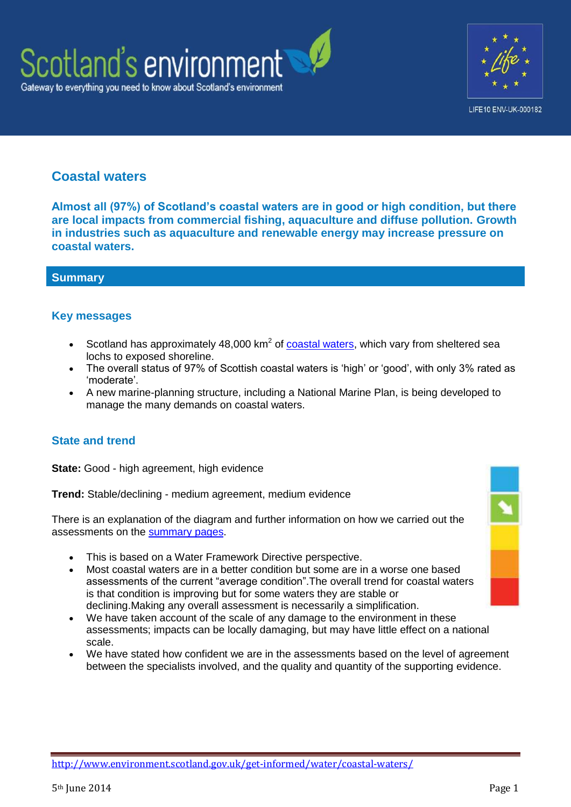



## **Coastal waters**

**Almost all (97%) of Scotland's coastal waters are in good or high condition, but there are local impacts from commercial fishing, aquaculture and diffuse pollution. Growth in industries such as aquaculture and renewable energy may increase pressure on coastal waters.**

## **Summary**

## **Key messages**

- Scotland has approximately 48,000  $km^2$  of [coastal waters,](http://www.scotland.gov.uk/Publications/2011/03/16182005/23) which vary from sheltered sea lochs to exposed shoreline.
- The overall status of 97% of Scottish coastal waters is 'high' or 'good', with only 3% rated as 'moderate'.
- A new marine-planning structure, including a National Marine Plan, is being developed to manage the many demands on coastal waters.

## **State and trend**

**State:** Good - high agreement, high evidence

**Trend:** Stable/declining - medium agreement, medium evidence

There is an explanation of the diagram and further information on how we carried out the assessments on the [summary pages.](http://www.environment.scotland.gov.uk/get-informed/state-of-the-environment-summary/state-and-trend-assessments/)

- This is based on a Water Framework Directive perspective.
- Most coastal waters are in a better condition but some are in a worse one based assessments of the current "average condition".The overall trend for coastal waters is that condition is improving but for some waters they are stable or declining.Making any overall assessment is necessarily a simplification.
- We have taken account of the scale of any damage to the environment in these assessments; impacts can be locally damaging, but may have little effect on a national scale.
- We have stated how confident we are in the assessments based on the level of agreement between the specialists involved, and the quality and quantity of the supporting evidence.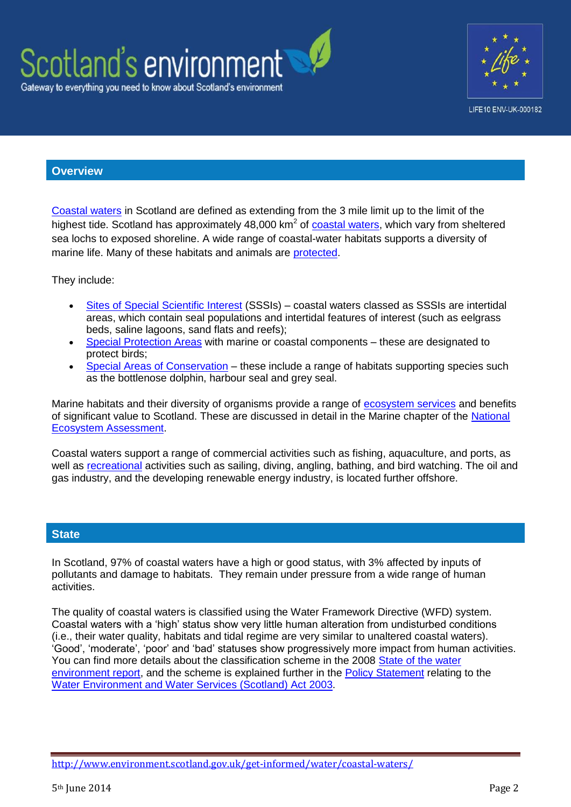



#### **Overview**

[Coastal waters](http://www.legislation.gov.uk/asp/2003/3/section/3) in Scotland are defined as extending from the 3 mile limit up to the limit of the highest tide. Scotland has approximately 48,000 km<sup>2</sup> of [coastal waters,](http://www.scotland.gov.uk/Publications/2011/03/16182005/23) which vary from sheltered sea lochs to exposed shoreline. A wide range of coastal-water habitats supports a diversity of marine life. Many of these habitats and animals are [protected.](http://www.snh.gov.uk/protecting-scotlands-nature/protected-areas/national-designations/marine-protected-areas-%28mpa%29/)

They include:

- [Sites of Special Scientific Interest](http://www.snh.gov.uk/protecting-scotlands-nature/protected-areas/national-designations/sssis/) (SSSIs) coastal waters classed as SSSIs are intertidal areas, which contain seal populations and intertidal features of interest (such as eelgrass beds, saline lagoons, sand flats and reefs);
- [Special Protection Areas](http://www.snh.gov.uk/protecting-scotlands-nature/protected-areas/international-designations/spa/marine-spas/) with marine or coastal components these are designated to protect birds;
- [Special Areas of Conservation](http://www.snh.gov.uk/protecting-scotlands-nature/protected-areas/international-designations/sac/marine-sacs/) these include a range of habitats supporting species such as the bottlenose dolphin, harbour seal and grey seal.

Marine habitats and their diversity of organisms provide a range of [ecosystem services](http://www.ecosystemservices.org.uk/ecoserv.htm) and benefits of significant value to Scotland. These are discussed in detail in the Marine chapter of the [National](http://uknea.unep-wcmc.org/Resources/tabid/82/Default.aspx)  [Ecosystem Assessment.](http://uknea.unep-wcmc.org/Resources/tabid/82/Default.aspx)

Coastal waters support a range of commercial activities such as fishing, aquaculture, and ports, as well as [recreational](http://www.scotland.gov.uk/Publications/2011/03/16182005/65) activities such as sailing, diving, angling, bathing, and bird watching. The oil and gas industry, and the developing renewable energy industry, is located further offshore.

## **State**

In Scotland, 97% of coastal waters have a high or good status, with 3% affected by inputs of pollutants and damage to habitats. They remain under pressure from a wide range of human activities.

The quality of coastal waters is classified using the Water Framework Directive (WFD) system. Coastal waters with a 'high' status show very little human alteration from undisturbed conditions (i.e., their water quality, habitats and tidal regime are very similar to unaltered coastal waters). 'Good', 'moderate', 'poor' and 'bad' statuses show progressively more impact from human activities. You can find more details about the classification scheme in the 2008 [State of the water](http://www.sepa.org.uk/water/idoc.ashx?docid=c2e7861e-4414-4ebd-9867-cfdf8d09d392&version=-1)  [environment report,](http://www.sepa.org.uk/water/idoc.ashx?docid=c2e7861e-4414-4ebd-9867-cfdf8d09d392&version=-1) and the scheme is explained further in the [Policy Statement](http://www.scotland.gov.uk/Publications/2010/03/02155205/4) relating to the [Water Environment and Water Services \(Scotland\) Act 2003.](http://www.hmso.gov.uk/legislation/scotland/acts2003/20030003.htm)

<http://www.environment.scotland.gov.uk/get-informed/water/coastal-waters/>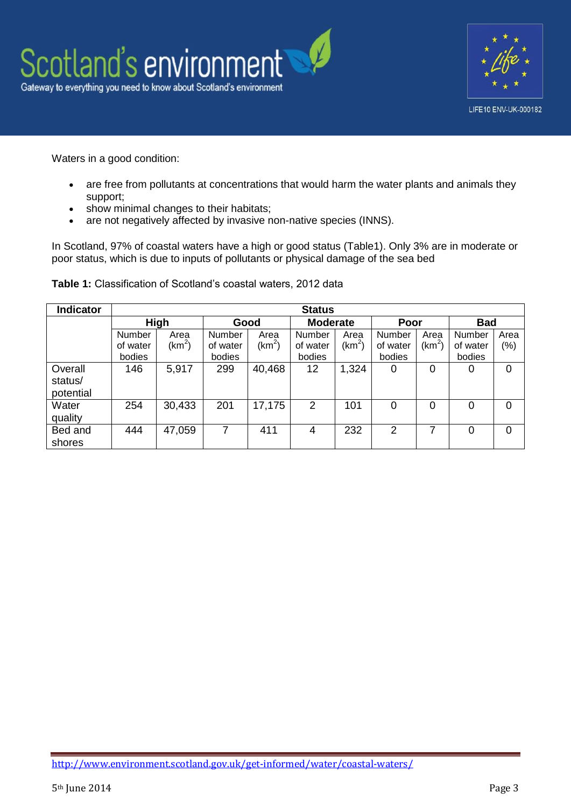



Waters in a good condition:

- are free from pollutants at concentrations that would harm the water plants and animals they support;
- show minimal changes to their habitats;
- are not negatively affected by invasive non-native species (INNS).

In Scotland, 97% of coastal waters have a high or good status (Table1). Only 3% are in moderate or poor status, which is due to inputs of pollutants or physical damage of the sea bed

| <b>Indicator</b>                | <b>Status</b> |          |          |          |                 |          |          |          |                |         |  |
|---------------------------------|---------------|----------|----------|----------|-----------------|----------|----------|----------|----------------|---------|--|
|                                 | <b>High</b>   |          | Good     |          | <b>Moderate</b> |          | Poor     |          | <b>Bad</b>     |         |  |
|                                 | Number        | Area     | Number   | Area     | Number          | Area     | Number   | Area     | Number         | Area    |  |
|                                 | of water      | $(km^2)$ | of water | $(km^2)$ | of water        | $(km^2)$ | of water | $(km^2)$ | of water       | $(\% )$ |  |
|                                 | bodies        |          | bodies   |          | bodies          |          | bodies   |          | bodies         |         |  |
| Overall<br>status/<br>potential | 146           | 5,917    | 299      | 40,468   | 12              | 1,324    | 0        | 0        | 0              | 0       |  |
| Water<br>quality                | 254           | 30,433   | 201      | 17,175   | $\overline{2}$  | 101      | 0        | $\Omega$ | $\Omega$       | 0       |  |
| Bed and<br>shores               | 444           | 47,059   | 7        | 411      | 4               | 232      | 2        | 7        | $\overline{0}$ | 0       |  |

**Table 1:** Classification of Scotland's coastal waters, 2012 data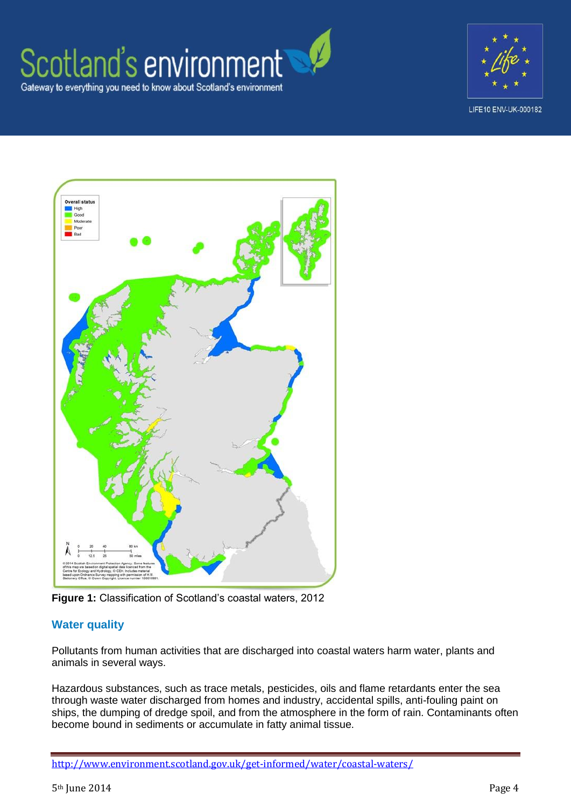# Scotland's environment Gateway to everything you need to know about Scotland's environment







**Figure 1:** Classification of Scotland's coastal waters, 2012

## **Water quality**

Pollutants from human activities that are discharged into coastal waters harm water, plants and animals in several ways.

Hazardous substances, such as trace metals, pesticides, oils and flame retardants enter the sea through waste water discharged from homes and industry, accidental spills, anti-fouling paint on ships, the dumping of dredge spoil, and from the atmosphere in the form of rain. Contaminants often become bound in sediments or accumulate in fatty animal tissue.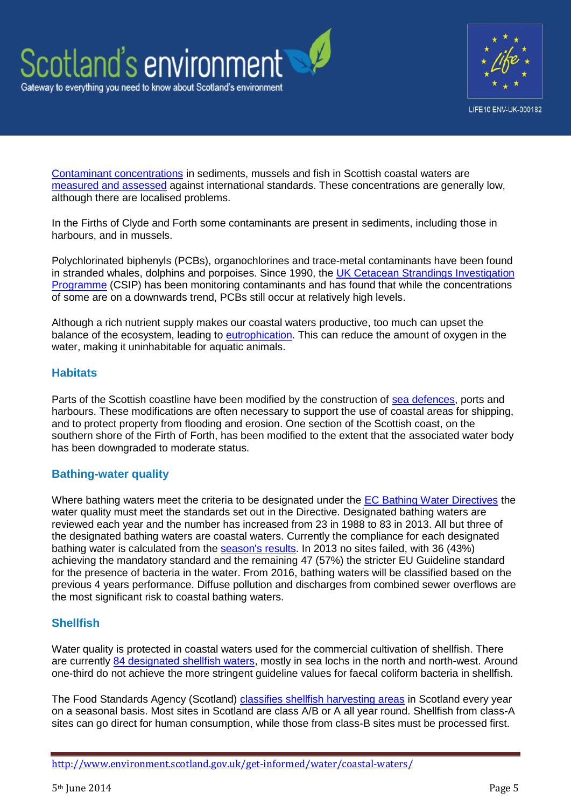



[Contaminant concentrations](http://www.scotland.gov.uk/Publications/2011/03/16182005/32) in sediments, mussels and fish in Scottish coastal waters are [measured and assessed](http://www.bodc.ac.uk/projects/uk/merman/assessments_and_data_access/csemp/) against international standards. These concentrations are generally low, although there are localised problems.

In the Firths of Clyde and Forth some contaminants are present in sediments, including those in harbours, and in mussels.

Polychlorinated biphenyls (PCBs), organochlorines and trace-metal contaminants have been found in stranded whales, dolphins and porpoises. Since 1990, the [UK Cetacean Strandings Investigation](http://ukstrandings.org/)  [Programme](http://ukstrandings.org/) (CSIP) has been monitoring contaminants and has found that while the concentrations of some are on a downwards trend, PCBs still occur at relatively high levels.

Although a rich nutrient supply makes our coastal waters productive, too much can upset the balance of the ecosystem, leading to [eutrophication.](http://www.scotland.gov.uk/Publications/2011/03/16182005/38) This can reduce the amount of oxygen in the water, making it uninhabitable for aquatic animals.

## **Habitats**

Parts of the Scottish coastline have been modified by the construction of [sea defences,](http://www.scotland.gov.uk/Publications/2011/03/16182005/67) ports and harbours. These modifications are often necessary to support the use of coastal areas for shipping, and to protect property from flooding and erosion. One section of the Scottish coast, on the southern shore of the Firth of Forth, has been modified to the extent that the associated water body has been downgraded to moderate status.

## **Bathing-water quality**

Where bathing waters meet the criteria to be designated under the [EC Bathing Water Directives](http://ec.europa.eu/environment/water/water-bathing/index_en.html) the water quality must meet the standards set out in the Directive. Designated bathing waters are reviewed each year and the number has increased from 23 in 1988 to 83 in 2013. All but three of the designated bathing waters are coastal waters. Currently the compliance for each designated bathing water is calculated from the [season's results.](http://www.sepa.org.uk/water/bathing_waters/sampling_and_results.aspx) In 2013 no sites failed, with 36 (43%) achieving the mandatory standard and the remaining 47 (57%) the stricter EU Guideline standard for the presence of bacteria in the water. From 2016, bathing waters will be classified based on the previous 4 years performance. Diffuse pollution and discharges from combined sewer overflows are the most significant risk to coastal bathing waters.

## **Shellfish**

Water quality is protected in coastal waters used for the commercial cultivation of shellfish. There are currently [84 designated shellfish waters,](http://www.scotland.gov.uk/Topics/Environment/Water/15561/ShellfishWaters) mostly in sea lochs in the north and north-west. Around one-third do not achieve the more stringent guideline values for faecal coliform bacteria in shellfish.

The Food Standards Agency (Scotland) [classifies shellfish harvesting areas](http://food.gov.uk/enforcement/monitoring/shellfish/shellharvestareas/) in Scotland every year on a seasonal basis. Most sites in Scotland are class A/B or A all year round. Shellfish from class-A sites can go direct for human consumption, while those from class-B sites must be processed first.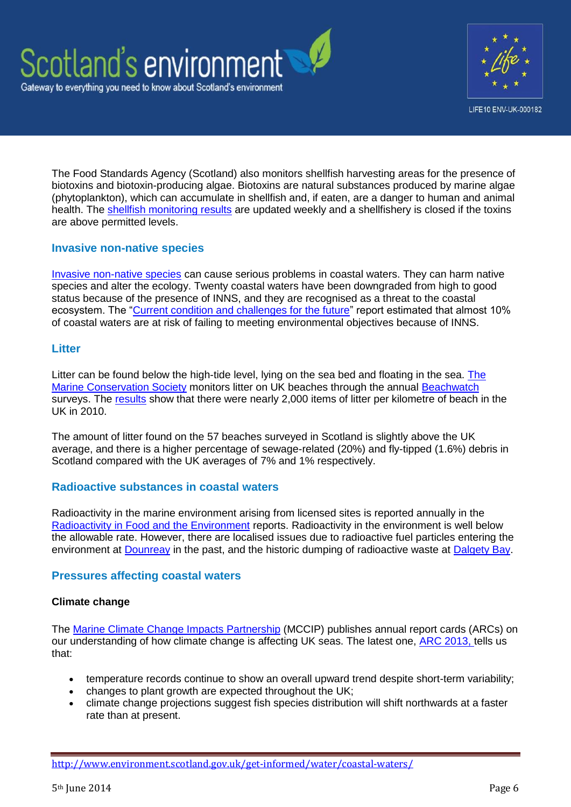



The Food Standards Agency (Scotland) also monitors shellfish harvesting areas for the presence of biotoxins and biotoxin-producing algae. Biotoxins are natural substances produced by marine algae (phytoplankton), which can accumulate in shellfish and, if eaten, are a danger to human and animal health. The [shellfish monitoring results](http://www.food.gov.uk/scotland/safetyhygienescot/shellmonitorscot/) are updated weekly and a shellfishery is closed if the toxins are above permitted levels.

## **Invasive non-native species**

[Invasive non-native species](http://www.nonnativespecies.org/index.cfm?pageid=64) can cause serious problems in coastal waters. They can harm native species and alter the ecology. Twenty coastal waters have been downgraded from high to good status because of the presence of INNS, and they are recognised as a threat to the coastal ecosystem. The ["Current condition and challenges for the future"](http://www.sepa.org.uk/water/river_basin_planning/significant_issues.aspx) report estimated that almost 10% of coastal waters are at risk of failing to meeting environmental objectives because of INNS.

## **Litter**

Litter can be found below the high-tide level, lying on the sea bed and floating in the sea. [The](http://www.mcsuk.org/what_we_do/Clean%20seas%20and%20beaches)  [Marine Conservation Society](http://www.mcsuk.org/what_we_do/Clean%20seas%20and%20beaches) monitors litter on UK beaches through the annual [Beachwatch](http://www.mcsuk.org/beachwatch/) surveys. The [results](http://www.mcsuk.org/downloads/pollution/beachwatch/latest2011/Beachwatch_Summary_Report_30.03.11.pdf) show that there were nearly 2,000 items of litter per kilometre of beach in the UK in 2010.

The amount of litter found on the 57 beaches surveyed in Scotland is slightly above the UK average, and there is a higher percentage of sewage-related (20%) and fly-tipped (1.6%) debris in Scotland compared with the UK averages of 7% and 1% respectively.

#### **Radioactive substances in coastal waters**

Radioactivity in the marine environment arising from licensed sites is reported annually in the [Radioactivity in Food and the Environment](http://www.sepa.org.uk/radioactive_substances/publications/rife_reports.aspx) reports. Radioactivity in the environment is well below the allowable rate. However, there are localised issues due to radioactive fuel particles entering the environment at **Dounreay** in the past, and the historic dumping of radioactive waste at **Dalgety Bay**.

## **Pressures affecting coastal waters**

#### **Climate change**

The [Marine Climate Change Impacts Partnership](http://www.mccip.org.uk/) (MCCIP) publishes annual report cards (ARCs) on our understanding of how climate change is affecting UK seas. The latest one, [ARC 2013, t](http://www.mccip.org.uk/annual-report-card.aspx)ells us that:

- temperature records continue to show an overall upward trend despite short-term variability;
- changes to plant growth are expected throughout the UK;
- climate change projections suggest fish species distribution will shift northwards at a faster rate than at present.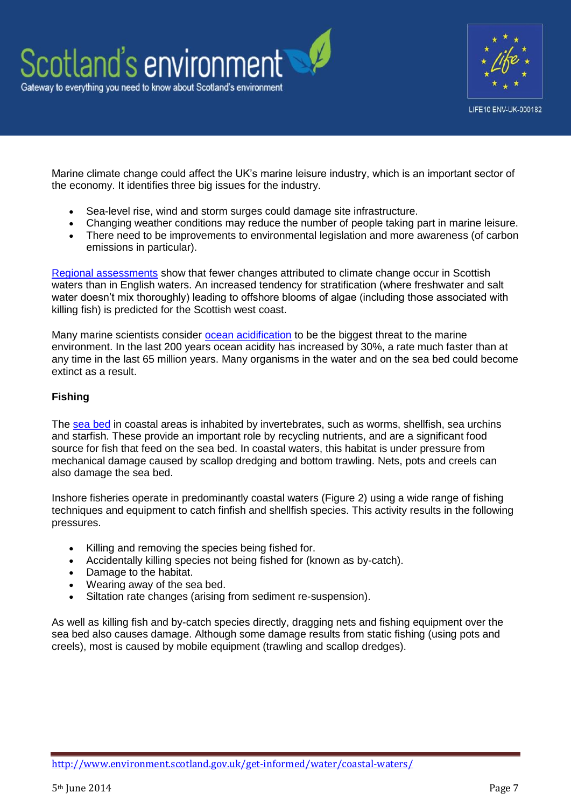

Marine climate change could affect the UK's marine leisure industry, which is an important sector of the economy. It identifies three big issues for the industry.

- Sea-level rise, wind and storm surges could damage site infrastructure.
- Changing weather conditions may reduce the number of people taking part in marine leisure.
- There need to be improvements to environmental legislation and more awareness (of carbon emissions in particular).

[Regional assessments](http://www.mccip.org.uk/annual-report-card/2010-2011/regional-snapshots.aspx) show that fewer changes attributed to climate change occur in Scottish waters than in English waters. An increased tendency for stratification (where freshwater and salt water doesn't mix thoroughly) leading to offshore blooms of algae (including those associated with killing fish) is predicted for the Scottish west coast.

Many marine scientists consider [ocean acidification](http://www.youtube.com/watch?v=55D8TGRsl4k) to be the biggest threat to the marine environment. In the last 200 years ocean acidity has increased by 30%, a rate much faster than at any time in the last 65 million years. Many organisms in the water and on the sea bed could become extinct as a result.

## **Fishing**

The [sea bed](http://www.scotland.gov.uk/Publications/2011/03/16182005/48) in coastal areas is inhabited by invertebrates, such as worms, shellfish, sea urchins and starfish. These provide an important role by recycling nutrients, and are a significant food source for fish that feed on the sea bed. In coastal waters, this habitat is under pressure from mechanical damage caused by scallop dredging and bottom trawling. Nets, pots and creels can also damage the sea bed.

Inshore fisheries operate in predominantly coastal waters (Figure 2) using a wide range of fishing techniques and equipment to catch finfish and shellfish species. This activity results in the following pressures.

- Killing and removing the species being fished for.
- Accidentally killing species not being fished for (known as by-catch).
- Damage to the habitat.
- Wearing away of the sea bed.
- Siltation rate changes (arising from sediment re-suspension).

As well as killing fish and by-catch species directly, dragging nets and fishing equipment over the sea bed also causes damage. Although some damage results from static fishing (using pots and creels), most is caused by mobile equipment (trawling and scallop dredges).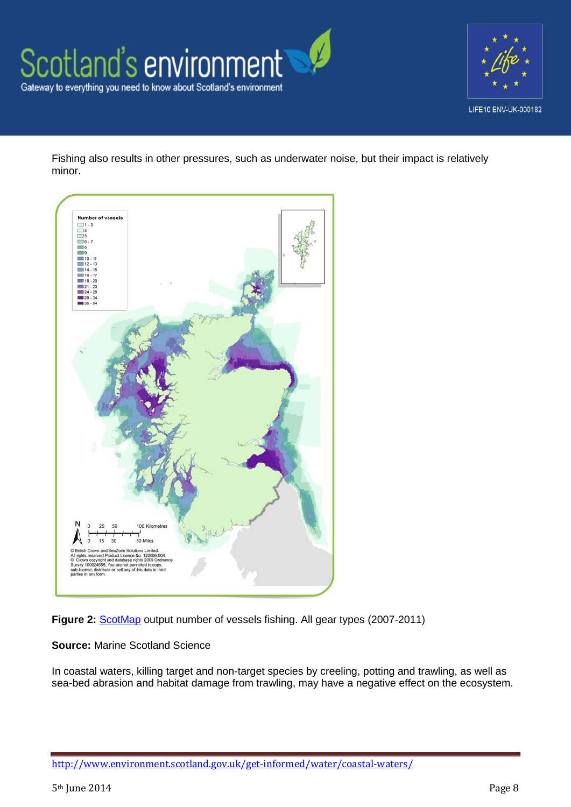



Fishing also results in other pressures, such as underwater noise, but their impact is relatively minor.



**Figure 2:** [ScotMap](http://www.scotland.gov.uk/Topics/marine/science/MSInteractive/Themes/ScotMap) output number of vessels fishing. All gear types (2007-2011)

#### **Source:** Marine Scotland Science

In coastal waters, killing target and non-target species by creeling, potting and trawling, as well as sea-bed abrasion and habitat damage from trawling, may have a negative effect on the ecosystem.

<http://www.environment.scotland.gov.uk/get-informed/water/coastal-waters/>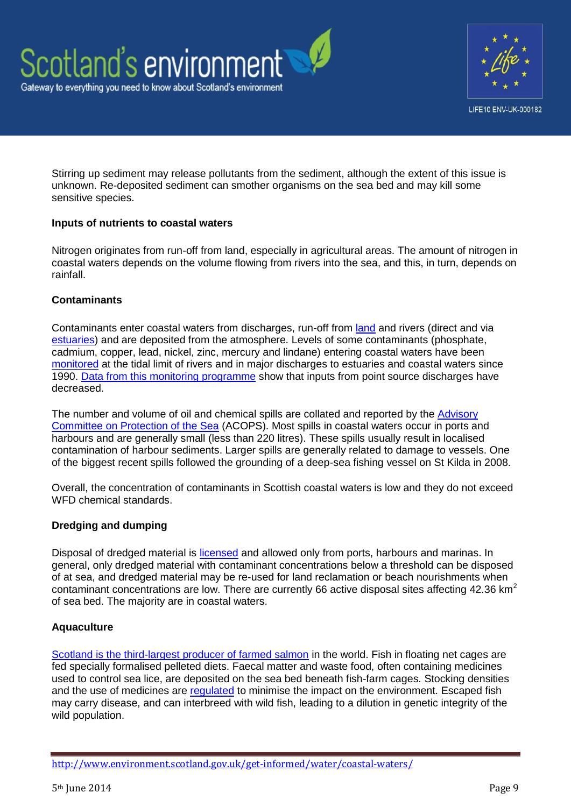

Stirring up sediment may release pollutants from the sediment, although the extent of this issue is unknown. Re-deposited sediment can smother organisms on the sea bed and may kill some sensitive species.

#### **Inputs of nutrients to coastal waters**

Nitrogen originates from run-off from land, especially in agricultural areas. The amount of nitrogen in coastal waters depends on the volume flowing from rivers into the sea, and this, in turn, depends on rainfall.

## **Contaminants**

Contaminants enter coastal waters from discharges, run-off from [land](http://www.environment.scotland.gov.uk/get-informed/land/) and rivers (direct and via [estuaries\)](http://www.environment.scotland.gov.uk/get-informed/water/estuaries/) and are deposited from the atmosphere. Levels of some contaminants (phosphate, cadmium, copper, lead, nickel, zinc, mercury and lindane) entering coastal waters have been [monitored](http://qsr2010.ospar.org/media/assessments/p00448_RID_Assessment.pdf?zoom_highlight=riverine%2Binputs) at the tidal limit of rivers and in major discharges to estuaries and coastal waters since 1990. [Data from this monitoring programme](http://www.scotland.gov.uk/Resource/Doc/345830/0115112.pdf) show that inputs from point source discharges have decreased.

The number and volume of oil and chemical spills are collated and reported by the [Advisory](http://www.acops.org.uk/annual-reports/)  [Committee on Protection of the Sea](http://www.acops.org.uk/annual-reports/) (ACOPS). Most spills in coastal waters occur in ports and harbours and are generally small (less than 220 litres). These spills usually result in localised contamination of harbour sediments. Larger spills are generally related to damage to vessels. One of the biggest recent spills followed the grounding of a deep-sea fishing vessel on St Kilda in 2008.

Overall, the concentration of contaminants in Scottish coastal waters is low and they do not exceed WFD chemical standards.

## **Dredging and dumping**

Disposal of dredged material is [licensed](http://www.scotland.gov.uk/Topics/marine/Licensing/marine) and allowed only from ports, harbours and marinas. In general, only dredged material with contaminant concentrations below a threshold can be disposed of at sea, and dredged material may be re-used for land reclamation or beach nourishments when contaminant concentrations are low. There are currently 66 active disposal sites affecting 42.36  $km^2$ of sea bed. The majority are in coastal waters.

## **Aquaculture**

[Scotland is the third-largest producer of farmed salmon](http://www.environment.scotland.gov.uk/get-informed/water/aquaculture/) in the world. Fish in floating net cages are fed specially formalised pelleted diets. Faecal matter and waste food, often containing medicines used to control sea lice, are deposited on the sea bed beneath fish-farm cages. Stocking densities and the use of medicines are [regulated](http://www.sepa.org.uk/water/water_regulation/regimes/aquaculture/marine_aquaculture.aspx) to minimise the impact on the environment. Escaped fish may carry disease, and can interbreed with wild fish, leading to a dilution in genetic integrity of the wild population.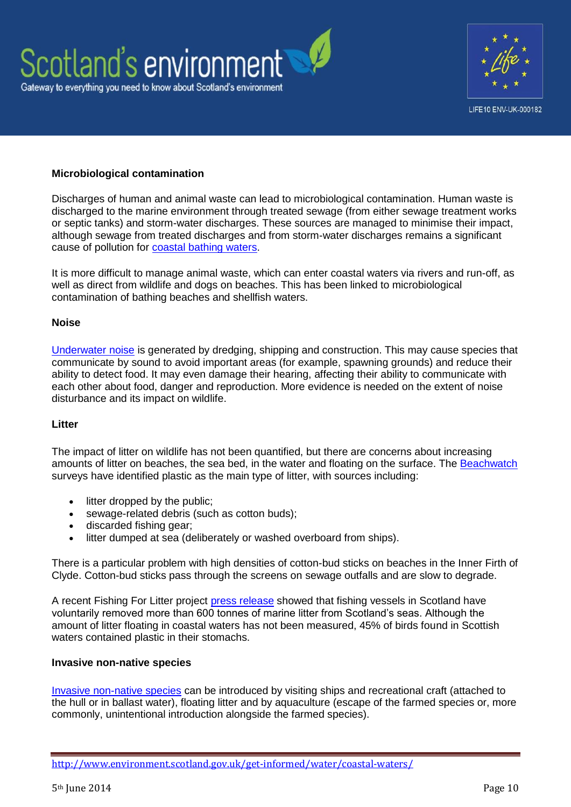



#### **Microbiological contamination**

Discharges of human and animal waste can lead to microbiological contamination. Human waste is discharged to the marine environment through treated sewage (from either sewage treatment works or septic tanks) and storm-water discharges. These sources are managed to minimise their impact, although sewage from treated discharges and from storm-water discharges remains a significant cause of pollution for [coastal bathing waters.](http://www.sepa.org.uk/water/bathing_waters.aspx)

It is more difficult to manage animal waste, which can enter coastal waters via rivers and run-off, as well as direct from wildlife and dogs on beaches. This has been linked to microbiological contamination of bathing beaches and shellfish waters.

#### **Noise**

[Underwater noise](http://www.scotland.gov.uk/Publications/2011/03/16182005/42) is generated by dredging, shipping and construction. This may cause species that communicate by sound to avoid important areas (for example, spawning grounds) and reduce their ability to detect food. It may even damage their hearing, affecting their ability to communicate with each other about food, danger and reproduction. More evidence is needed on the extent of noise disturbance and its impact on wildlife.

#### **Litter**

The impact of litter on wildlife has not been quantified, but there are concerns about increasing amounts of litter on beaches, the sea bed, in the water and floating on the surface. The [Beachwatch](http://www.mcsuk.org/beachwatch/) surveys have identified plastic as the main type of litter, with sources including:

- litter dropped by the public;
- sewage-related debris (such as cotton buds);
- discarded fishing gear;
- litter dumped at sea (deliberately or washed overboard from ships).

There is a particular problem with high densities of cotton-bud sticks on beaches in the Inner Firth of Clyde. Cotton-bud sticks pass through the screens on sewage outfalls and are slow to degrade.

A recent Fishing For Litter project [press release](http://www.kimointernational.org/WebData/Files/FFL%20Scotland/Fishing%20For%20Litter%20Press%20release%20-%20600%20tonnes.pdf) showed that fishing vessels in Scotland have voluntarily removed more than 600 tonnes of marine litter from Scotland's seas. Although the amount of litter floating in coastal waters has not been measured, 45% of birds found in Scottish waters contained plastic in their stomachs.

#### **Invasive non-native species**

[Invasive non-native species](http://www.snh.gov.uk/land-and-sea/managing-coasts-and-sea/marine-nonnatives/) can be introduced by visiting ships and recreational craft (attached to the hull or in ballast water), floating litter and by aquaculture (escape of the farmed species or, more commonly, unintentional introduction alongside the farmed species).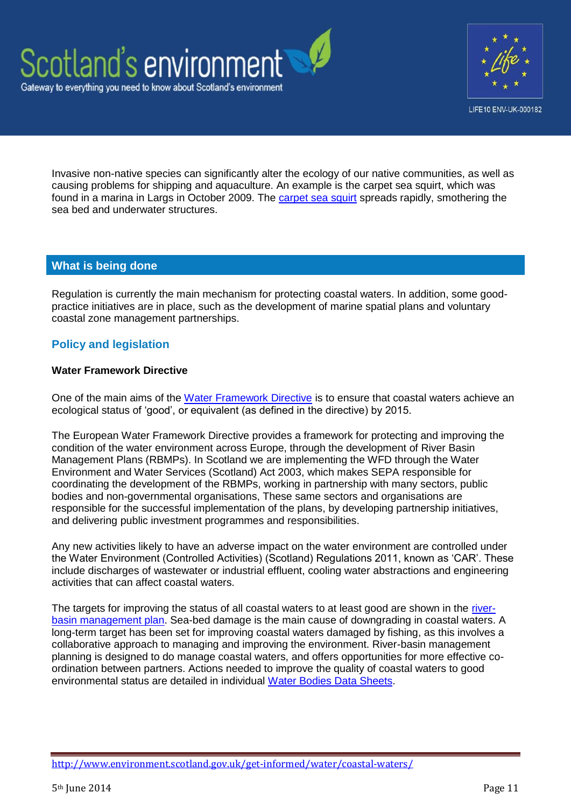



Invasive non-native species can significantly alter the ecology of our native communities, as well as causing problems for shipping and aquaculture. An example is the carpet sea squirt, which was found in a marina in Largs in October 2009. The [carpet sea squirt](http://www.snh.gov.uk/land-and-sea/managing-coasts-and-sea/marine-nonnatives/carpet-sea-squirt/) spreads rapidly, smothering the sea bed and underwater structures.

## **What is being done**

Regulation is currently the main mechanism for protecting coastal waters. In addition, some goodpractice initiatives are in place, such as the development of marine spatial plans and voluntary coastal zone management partnerships.

## **Policy and legislation**

#### **Water Framework Directive**

One of the main aims of the [Water Framework Directive](http://www.scotland.gov.uk/Topics/Environment/Water/15561/WFD) is to ensure that coastal waters achieve an ecological status of 'good', or equivalent (as defined in the directive) by 2015.

The European Water Framework Directive provides a framework for protecting and improving the condition of the water environment across Europe, through the development of River Basin Management Plans (RBMPs). In Scotland we are implementing the WFD through the Water Environment and Water Services (Scotland) Act 2003, which makes SEPA responsible for coordinating the development of the RBMPs, working in partnership with many sectors, public bodies and non-governmental organisations, These same sectors and organisations are responsible for the successful implementation of the plans, by developing partnership initiatives, and delivering public investment programmes and responsibilities.

Any new activities likely to have an adverse impact on the water environment are controlled under the Water Environment (Controlled Activities) (Scotland) Regulations 2011, known as 'CAR'. These include discharges of wastewater or industrial effluent, cooling water abstractions and engineering activities that can affect coastal waters.

The targets for improving the status of all coastal waters to at least good are shown in the [river](http://www.sepa.org.uk/water/idoc.ashx?docid=2b22ae22-41ea-4094-9636-e1b4d7fb37ee&version=-1)[basin management plan.](http://www.sepa.org.uk/water/idoc.ashx?docid=2b22ae22-41ea-4094-9636-e1b4d7fb37ee&version=-1) Sea-bed damage is the main cause of downgrading in coastal waters. A long-term target has been set for improving coastal waters damaged by fishing, as this involves a collaborative approach to managing and improving the environment. River-basin management planning is designed to do manage coastal waters, and offers opportunities for more effective coordination between partners. Actions needed to improve the quality of coastal waters to good environmental status are detailed in individual [Water Bodies Data Sheets.](http://www.sepa.org.uk/water/river_basin_planning/waterbody_data_sheets.aspx)

<http://www.environment.scotland.gov.uk/get-informed/water/coastal-waters/>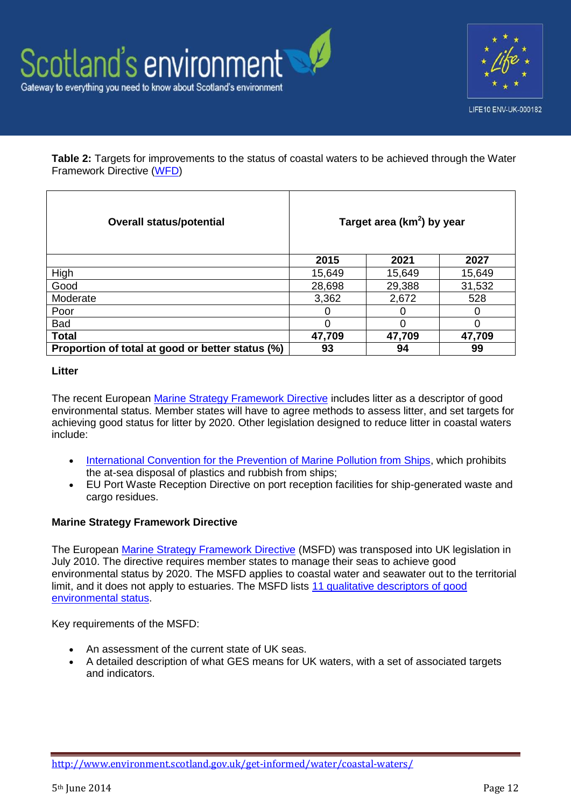



**Table 2:** Targets for improvements to the status of coastal waters to be achieved through the Water Framework Directive [\(WFD\)](http://eur-lex.europa.eu/LexUriServ/LexUriServ.do?uri=CELEX:32000L0060:EN:HTML)

| <b>Overall status/potential</b>                  | Target area ( $km2$ ) by year |        |        |  |  |  |
|--------------------------------------------------|-------------------------------|--------|--------|--|--|--|
|                                                  | 2015                          | 2021   | 2027   |  |  |  |
| High                                             | 15,649                        | 15,649 | 15,649 |  |  |  |
| Good                                             | 28,698                        | 29,388 | 31,532 |  |  |  |
| Moderate                                         | 3,362                         | 2,672  | 528    |  |  |  |
| Poor                                             |                               |        | 0      |  |  |  |
| Bad                                              |                               |        |        |  |  |  |
| <b>Total</b>                                     | 47,709                        | 47,709 | 47,709 |  |  |  |
| Proportion of total at good or better status (%) | 93                            | 94     | 99     |  |  |  |

#### **Litter**

The recent European [Marine Strategy Framework Directive](http://www.scotland.gov.uk/Topics/marine/seamanagement/msfd) includes litter as a descriptor of good environmental status. Member states will have to agree methods to assess litter, and set targets for achieving good status for litter by 2020. Other legislation designed to reduce litter in coastal waters include:

- [International Convention for the Prevention of Marine Pollution from Ships,](http://www.imo.org/About/Conventions/ListOfConventions/Pages/International-Convention-for-the-Prevention-of-Pollution-from-Ships-%28MARPOL%29.aspx) which prohibits the at-sea disposal of plastics and rubbish from ships;
- EU Port Waste Reception Directive on port reception facilities for ship-generated waste and cargo residues.

#### **Marine Strategy Framework Directive**

The European [Marine Strategy Framework Directive](http://www.scotland.gov.uk/Topics/marine/seamanagement/msfd) (MSFD) was transposed into UK legislation in July 2010. The directive requires member states to manage their seas to achieve good environmental status by 2020. The MSFD applies to coastal water and seawater out to the territorial limit, and it does not apply to estuaries. The MSFD lists [11 qualitative descriptors of good](http://ec.europa.eu/environment/marine/good-environmental-status/index_en.htm)  [environmental status.](http://ec.europa.eu/environment/marine/good-environmental-status/index_en.htm)

Key requirements of the MSFD:

- An assessment of the current state of UK seas.
- A detailed description of what GES means for UK waters, with a set of associated targets and indicators.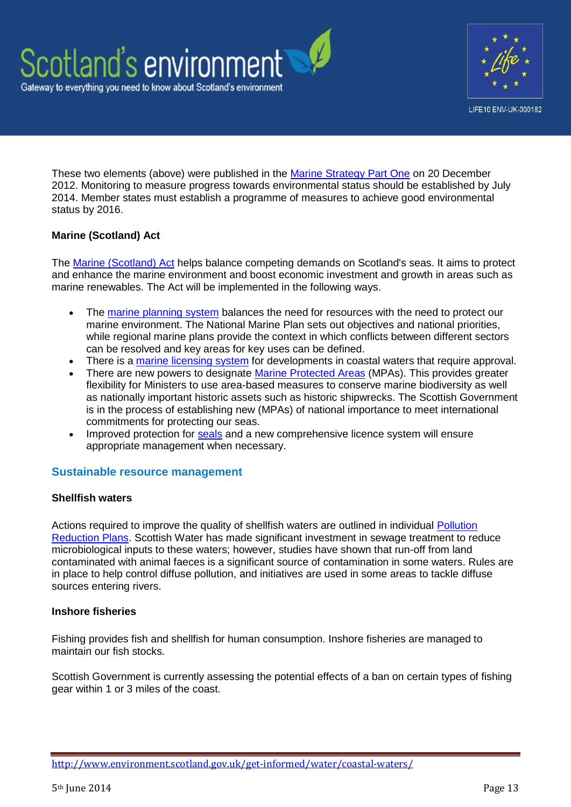

These two elements (above) were published in the [Marine Strategy Part One](http://www.defra.gov.uk/publications/2012/12/20/pb13860-msfd-strategy-part-one/) on 20 December 2012. Monitoring to measure progress towards environmental status should be established by July 2014. Member states must establish a programme of measures to achieve good environmental status by 2016.

## **Marine (Scotland) Act**

The [Marine \(Scotland\) Act](http://www.scotland.gov.uk/Topics/marine/seamanagement/marineact) helps balance competing demands on Scotland's seas. It aims to protect and enhance the marine environment and boost economic investment and growth in areas such as marine renewables. The Act will be implemented in the following ways.

- The [marine planning system](http://www.scotland.gov.uk/Topics/marine/seamanagement/national) balances the need for resources with the need to protect our marine environment. The National Marine Plan sets out objectives and national priorities, while regional marine plans provide the context in which conflicts between different sectors can be resolved and key areas for key uses can be defined.
- There is a [marine licensing system](http://www.scotland.gov.uk/Topics/marine/Licensing/marine) for developments in coastal waters that require approval.
- There are new powers to designate [Marine Protected Areas](http://www.scotland.gov.uk/Topics/marine/marine-environment/mpanetwork) (MPAs). This provides greater flexibility for Ministers to use area-based measures to conserve marine biodiversity as well as nationally important historic assets such as historic shipwrecks. The Scottish Government is in the process of establishing new (MPAs) of national importance to meet international commitments for protecting our seas.
- Improved protection for [seals](http://www.scotland.gov.uk/Topics/marine/seamanagement/marineact/Seals) and a new comprehensive licence system will ensure appropriate management when necessary.

## **Sustainable resource management**

#### **Shellfish waters**

Actions required to improve the quality of shellfish waters are outlined in individual [Pollution](http://www.sepa.org.uk/water/protected_areas/shellfish_waters/site_reports.aspx)  [Reduction Plans.](http://www.sepa.org.uk/water/protected_areas/shellfish_waters/site_reports.aspx) Scottish Water has made significant investment in sewage treatment to reduce microbiological inputs to these waters; however, studies have shown that run-off from land contaminated with animal faeces is a significant source of contamination in some waters. Rules are in place to help control diffuse pollution, and initiatives are used in some areas to tackle diffuse sources entering rivers.

#### **Inshore fisheries**

Fishing provides fish and shellfish for human consumption. Inshore fisheries are managed to maintain our fish stocks.

Scottish Government is currently assessing the potential effects of a ban on certain types of fishing gear within 1 or 3 miles of the coast.

<http://www.environment.scotland.gov.uk/get-informed/water/coastal-waters/>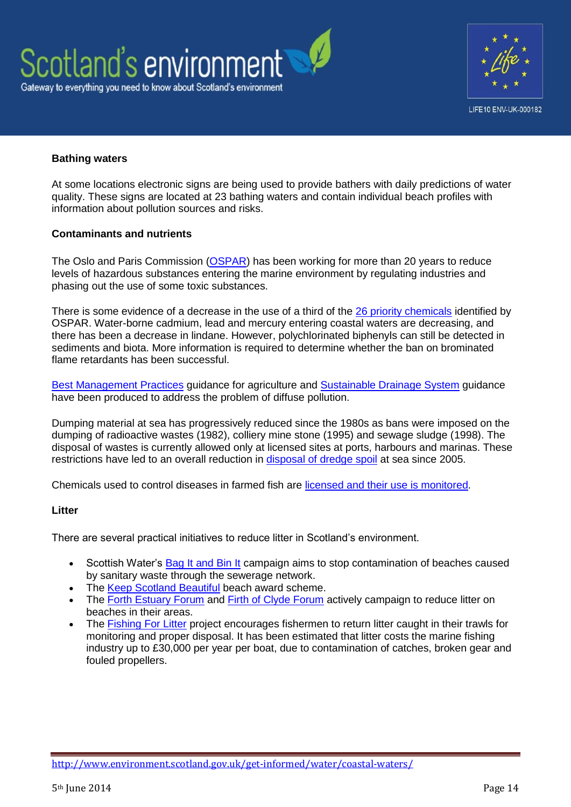



## **Bathing waters**

At some locations electronic signs are being used to provide bathers with daily predictions of water quality. These signs are located at 23 bathing waters and contain individual beach profiles with information about pollution sources and risks.

#### **Contaminants and nutrients**

The Oslo and Paris Commission [\(OSPAR\)](http://qsr2010.ospar.org/en/ch05_02.html) has been working for more than 20 years to reduce levels of hazardous substances entering the marine environment by regulating industries and phasing out the use of some toxic substances.

There is some evidence of a decrease in the use of a third of the [26 priority chemicals](http://qsr2010.ospar.org/en/media/content_pdf/ch05/QSR_CH05_EN_Tab_5_1.pdf) identified by OSPAR. Water-borne cadmium, lead and mercury entering coastal waters are decreasing, and there has been a decrease in lindane. However, polychlorinated biphenyls can still be detected in sediments and biota. More information is required to determine whether the ban on brominated flame retardants has been successful.

[Best Management Practices](http://apps.sepa.org.uk/bmp/) guidance for agriculture and [Sustainable Drainage System](http://www.sepa.org.uk/water/water_regulation/regimes/pollution_control/suds.aspx) guidance have been produced to address the problem of diffuse pollution.

Dumping material at sea has progressively reduced since the 1980s as bans were imposed on the dumping of radioactive wastes (1982), colliery mine stone (1995) and sewage sludge (1998). The disposal of wastes is currently allowed only at licensed sites at ports, harbours and marinas. These restrictions have led to an overall reduction in [disposal of dredge spoil](http://www.scotland.gov.uk/Publications/2011/03/16182005/73) at sea since 2005.

Chemicals used to control diseases in farmed fish are [licensed and their use is monitored.](http://www.vmd.defra.gov.uk/)

#### **Litter**

There are several practical initiatives to reduce litter in Scotland's environment.

- Scottish Water's [Bag It and Bin It](http://www.scottishwater.co.uk/you-and-your-home/your-home/flooding-information/flooding-information-documents/bag-it-bin-it-leaflet) campaign aims to stop contamination of beaches caused by sanitary waste through the sewerage network.
- The [Keep Scotland Beautiful](http://www.keepscotlandbeautiful.org/environmental-quality/beach-awards/) beach award scheme.
- The [Forth Estuary Forum](http://www.forthestuaryforum.co.uk/) and [Firth of Clyde Forum](http://clydeforum.com/index.php?option=com_content&view=article&id=63&Itemid=69) actively campaign to reduce litter on beaches in their areas.
- The [Fishing For Litter](http://www.kimointernational.org/Scotland.aspx) project encourages fishermen to return litter caught in their trawls for monitoring and proper disposal. It has been estimated that litter costs the marine fishing industry up to £30,000 per year per boat, due to contamination of catches, broken gear and fouled propellers.